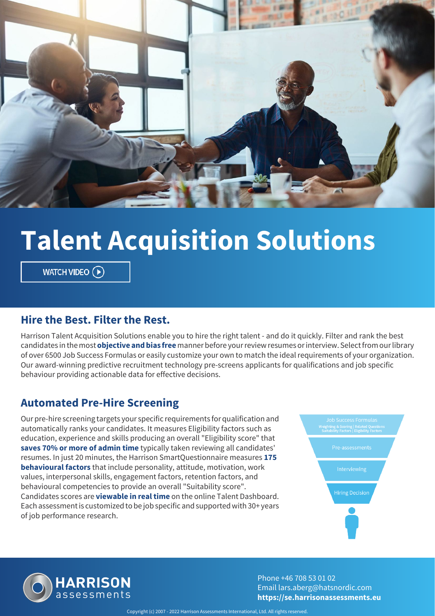

# **Talent Acquisition Solutions**

WATCH VIDEO  $\left(\widehat{\mathbf{P}}\right)$ 

#### **Hire the Best. Filter the Rest.**

Harrison Talent Acquisition Solutions enable you to hire the right talent - and do it quickly. Filter and rank the best candidates in the most **objective and bias free** manner before your review resumes or interview. Select from our library of over 6500 Job Success Formulas or easily customize your own to match the ideal requirements of your organization. Our award-winning predictive recruitment technology pre-screens applicants for qualifications and job specific behaviour providing actionable data for effective decisions.

#### **Automated Pre-Hire Screening**

Our pre-hire screening targets your specific requirements for qualification and automatically ranks your candidates. It measures Eligibility factors such as education, experience and skills producing an overall "Eligibility score" that **saves 70% or more of admin time** typically taken reviewing all candidates' resumes. In just 20 minutes, the Harrison SmartQuestionnaire measures **175 behavioural factors** that include personality, attitude, motivation, work values, interpersonal skills, engagement factors, retention factors, and behavioural competencies to provide an overall "Suitability score". Candidates scores are **viewable in real time** on the online Talent Dashboard. Each assessment is customized to be job specific and supported with 30+ years of job performance research.





Phone +46 708 53 01 02 Email lars.aberg@hatsnordic.com **https://se.harrisonassessments.eu**